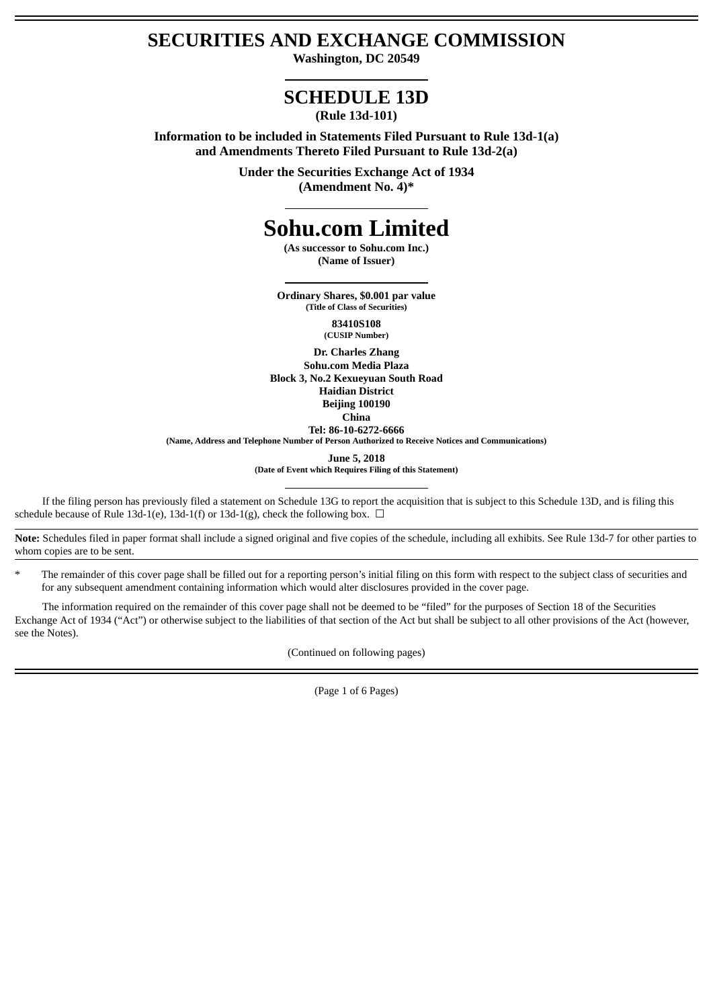# **SECURITIES AND EXCHANGE COMMISSION**

**Washington, DC 20549**

## **SCHEDULE 13D**

**(Rule 13d-101)**

**Information to be included in Statements Filed Pursuant to Rule 13d-1(a) and Amendments Thereto Filed Pursuant to Rule 13d-2(a)**

> **Under the Securities Exchange Act of 1934 (Amendment No. 4)\***

# **Sohu.com Limited**

**(As successor to Sohu.com Inc.) (Name of Issuer)**

**Ordinary Shares, \$0.001 par value (Title of Class of Securities)**

> **83410S108 (CUSIP Number)**

**Dr. Charles Zhang Sohu.com Media Plaza Block 3, No.2 Kexueyuan South Road Haidian District Beijing 100190 China**

**Tel: 86-10-6272-6666**

**(Name, Address and Telephone Number of Person Authorized to Receive Notices and Communications)**

**June 5, 2018**

**(Date of Event which Requires Filing of this Statement)**

If the filing person has previously filed a statement on Schedule 13G to report the acquisition that is subject to this Schedule 13D, and is filing this schedule because of Rule 13d-1(e), 13d-1(f) or 13d-1(g), check the following box.  $\Box$ 

**Note:** Schedules filed in paper format shall include a signed original and five copies of the schedule, including all exhibits. See Rule 13d-7 for other parties to whom copies are to be sent.

\* The remainder of this cover page shall be filled out for a reporting person's initial filing on this form with respect to the subject class of securities and for any subsequent amendment containing information which would alter disclosures provided in the cover page.

The information required on the remainder of this cover page shall not be deemed to be "filed" for the purposes of Section 18 of the Securities Exchange Act of 1934 ("Act") or otherwise subject to the liabilities of that section of the Act but shall be subject to all other provisions of the Act (however, see the Notes).

(Continued on following pages)

(Page 1 of 6 Pages)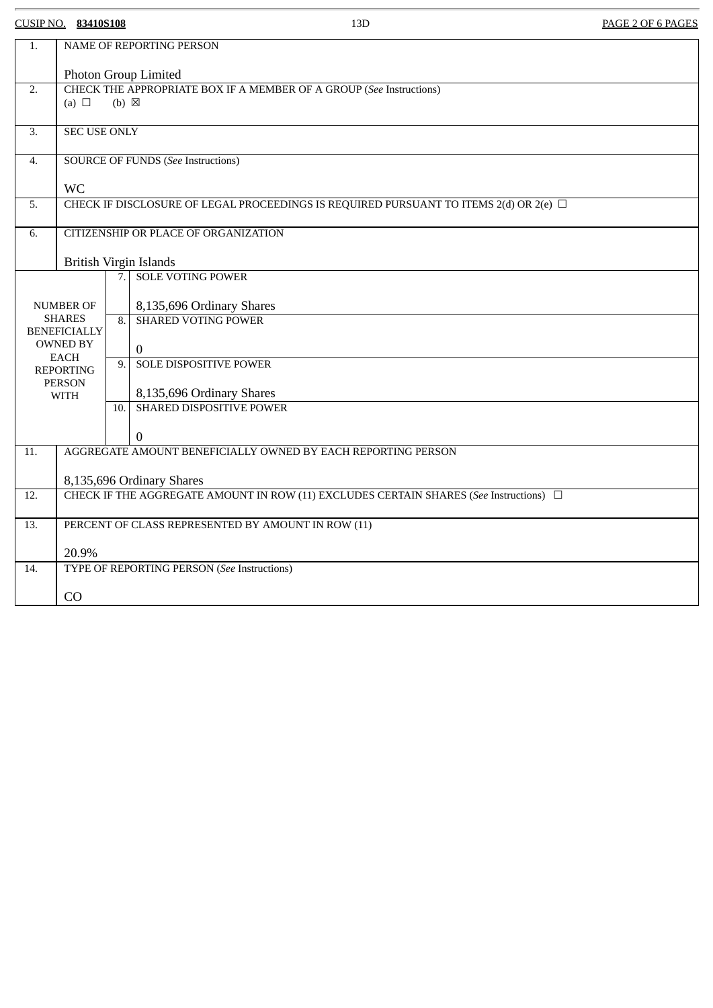CUSIP NO. **83410S108** 13D PAGE 2 OF 6 PAGES

| 1.                                | NAME OF REPORTING PERSON                                                                       |      |                                                         |
|-----------------------------------|------------------------------------------------------------------------------------------------|------|---------------------------------------------------------|
|                                   | Photon Group Limited                                                                           |      |                                                         |
| 2.                                | CHECK THE APPROPRIATE BOX IF A MEMBER OF A GROUP (See Instructions)                            |      |                                                         |
|                                   | (a) $\Box$<br>$(b) \boxtimes$                                                                  |      |                                                         |
|                                   |                                                                                                |      |                                                         |
| 3.                                | <b>SEC USE ONLY</b>                                                                            |      |                                                         |
| 4.                                | <b>SOURCE OF FUNDS (See Instructions)</b>                                                      |      |                                                         |
|                                   | <b>WC</b>                                                                                      |      |                                                         |
| 5.                                | CHECK IF DISCLOSURE OF LEGAL PROCEEDINGS IS REQUIRED PURSUANT TO ITEMS 2(d) OR 2(e) □          |      |                                                         |
|                                   |                                                                                                |      |                                                         |
| 6.                                | CITIZENSHIP OR PLACE OF ORGANIZATION                                                           |      |                                                         |
|                                   |                                                                                                |      |                                                         |
|                                   | <b>British Virgin Islands</b>                                                                  |      |                                                         |
|                                   |                                                                                                |      | 7. SOLE VOTING POWER                                    |
|                                   |                                                                                                |      |                                                         |
| <b>NUMBER OF</b><br><b>SHARES</b> |                                                                                                |      | 8,135,696 Ordinary Shares<br><b>SHARED VOTING POWER</b> |
| <b>BENEFICIALLY</b>               |                                                                                                | 8.   |                                                         |
| <b>OWNED BY</b>                   |                                                                                                |      | $\mathbf 0$                                             |
| <b>EACH</b>                       |                                                                                                | 9.   | <b>SOLE DISPOSITIVE POWER</b>                           |
| <b>REPORTING</b>                  |                                                                                                |      |                                                         |
| <b>PERSON</b><br><b>WITH</b>      |                                                                                                |      | 8,135,696 Ordinary Shares                               |
|                                   |                                                                                                | 10.1 | SHARED DISPOSITIVE POWER                                |
|                                   |                                                                                                |      |                                                         |
|                                   |                                                                                                |      | $\Omega$                                                |
| 11.                               | AGGREGATE AMOUNT BENEFICIALLY OWNED BY EACH REPORTING PERSON                                   |      |                                                         |
|                                   |                                                                                                |      |                                                         |
|                                   | 8,135,696 Ordinary Shares                                                                      |      |                                                         |
| 12.                               | CHECK IF THE AGGREGATE AMOUNT IN ROW (11) EXCLUDES CERTAIN SHARES (See Instructions) $\square$ |      |                                                         |
|                                   |                                                                                                |      |                                                         |
| 13.                               | PERCENT OF CLASS REPRESENTED BY AMOUNT IN ROW (11)                                             |      |                                                         |
|                                   | 20.9%                                                                                          |      |                                                         |
| 14.                               | TYPE OF REPORTING PERSON (See Instructions)                                                    |      |                                                         |
|                                   |                                                                                                |      |                                                         |
|                                   | CO                                                                                             |      |                                                         |
|                                   |                                                                                                |      |                                                         |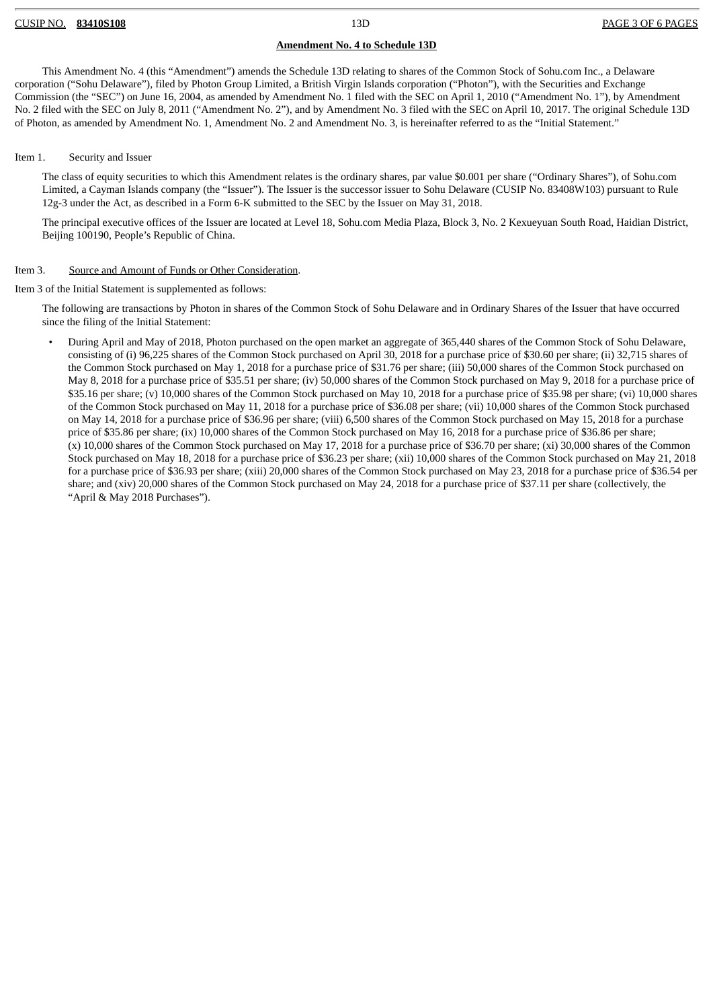#### **Amendment No. 4 to Schedule 13D**

This Amendment No. 4 (this "Amendment") amends the Schedule 13D relating to shares of the Common Stock of Sohu.com Inc., a Delaware corporation ("Sohu Delaware"), filed by Photon Group Limited, a British Virgin Islands corporation ("Photon"), with the Securities and Exchange Commission (the "SEC") on June 16, 2004, as amended by Amendment No. 1 filed with the SEC on April 1, 2010 ("Amendment No. 1"), by Amendment No. 2 filed with the SEC on July 8, 2011 ("Amendment No. 2"), and by Amendment No. 3 filed with the SEC on April 10, 2017. The original Schedule 13D of Photon, as amended by Amendment No. 1, Amendment No. 2 and Amendment No. 3, is hereinafter referred to as the "Initial Statement."

#### Item 1. Security and Issuer

The class of equity securities to which this Amendment relates is the ordinary shares, par value \$0.001 per share ("Ordinary Shares"), of Sohu.com Limited, a Cayman Islands company (the "Issuer"). The Issuer is the successor issuer to Sohu Delaware (CUSIP No. 83408W103) pursuant to Rule 12g-3 under the Act, as described in a Form 6-K submitted to the SEC by the Issuer on May 31, 2018.

The principal executive offices of the Issuer are located at Level 18, Sohu.com Media Plaza, Block 3, No. 2 Kexueyuan South Road, Haidian District, Beijing 100190, People's Republic of China.

#### Item 3. Source and Amount of Funds or Other Consideration.

Item 3 of the Initial Statement is supplemented as follows:

The following are transactions by Photon in shares of the Common Stock of Sohu Delaware and in Ordinary Shares of the Issuer that have occurred since the filing of the Initial Statement:

• During April and May of 2018, Photon purchased on the open market an aggregate of 365,440 shares of the Common Stock of Sohu Delaware, consisting of (i) 96,225 shares of the Common Stock purchased on April 30, 2018 for a purchase price of \$30.60 per share; (ii) 32,715 shares of the Common Stock purchased on May 1, 2018 for a purchase price of \$31.76 per share; (iii) 50,000 shares of the Common Stock purchased on May 8, 2018 for a purchase price of \$35.51 per share; (iv) 50,000 shares of the Common Stock purchased on May 9, 2018 for a purchase price of \$35.16 per share; (v) 10,000 shares of the Common Stock purchased on May 10, 2018 for a purchase price of \$35.98 per share; (vi) 10,000 shares of the Common Stock purchased on May 11, 2018 for a purchase price of \$36.08 per share; (vii) 10,000 shares of the Common Stock purchased on May 14, 2018 for a purchase price of \$36.96 per share; (viii) 6,500 shares of the Common Stock purchased on May 15, 2018 for a purchase price of \$35.86 per share; (ix) 10,000 shares of the Common Stock purchased on May 16, 2018 for a purchase price of \$36.86 per share; (x) 10,000 shares of the Common Stock purchased on May 17, 2018 for a purchase price of \$36.70 per share; (xi) 30,000 shares of the Common Stock purchased on May 18, 2018 for a purchase price of \$36.23 per share; (xii) 10,000 shares of the Common Stock purchased on May 21, 2018 for a purchase price of \$36.93 per share; (xiii) 20,000 shares of the Common Stock purchased on May 23, 2018 for a purchase price of \$36.54 per share; and (xiv) 20,000 shares of the Common Stock purchased on May 24, 2018 for a purchase price of \$37.11 per share (collectively, the "April & May 2018 Purchases").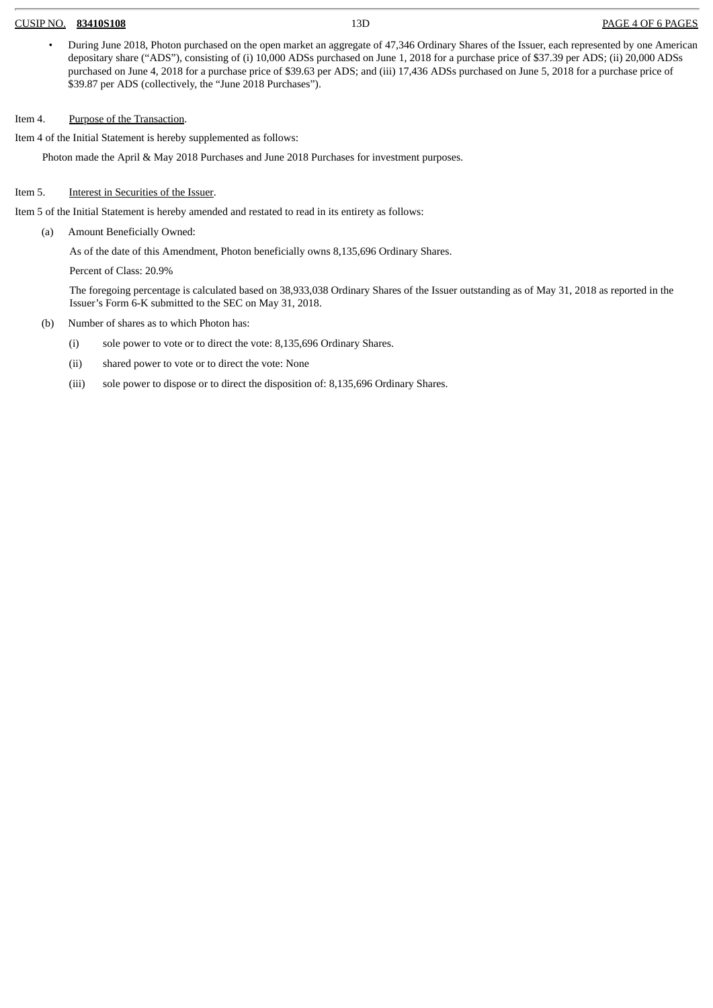#### CUSIP NO. **83410S108** 13D PAGE 4 OF 6 PAGES

• During June 2018, Photon purchased on the open market an aggregate of 47,346 Ordinary Shares of the Issuer, each represented by one American depositary share ("ADS"), consisting of (i) 10,000 ADSs purchased on June 1, 2018 for a purchase price of \$37.39 per ADS; (ii) 20,000 ADSs purchased on June 4, 2018 for a purchase price of \$39.63 per ADS; and (iii) 17,436 ADSs purchased on June 5, 2018 for a purchase price of \$39.87 per ADS (collectively, the "June 2018 Purchases").

### Item 4. Purpose of the Transaction.

Item 4 of the Initial Statement is hereby supplemented as follows:

Photon made the April & May 2018 Purchases and June 2018 Purchases for investment purposes.

### Item 5. Interest in Securities of the Issuer.

Item 5 of the Initial Statement is hereby amended and restated to read in its entirety as follows:

(a) Amount Beneficially Owned:

As of the date of this Amendment, Photon beneficially owns 8,135,696 Ordinary Shares.

Percent of Class: 20.9%

The foregoing percentage is calculated based on 38,933,038 Ordinary Shares of the Issuer outstanding as of May 31, 2018 as reported in the Issuer's Form 6-K submitted to the SEC on May 31, 2018.

- (b) Number of shares as to which Photon has:
	- (i) sole power to vote or to direct the vote: 8,135,696 Ordinary Shares.
	- (ii) shared power to vote or to direct the vote: None
	- (iii) sole power to dispose or to direct the disposition of: 8,135,696 Ordinary Shares.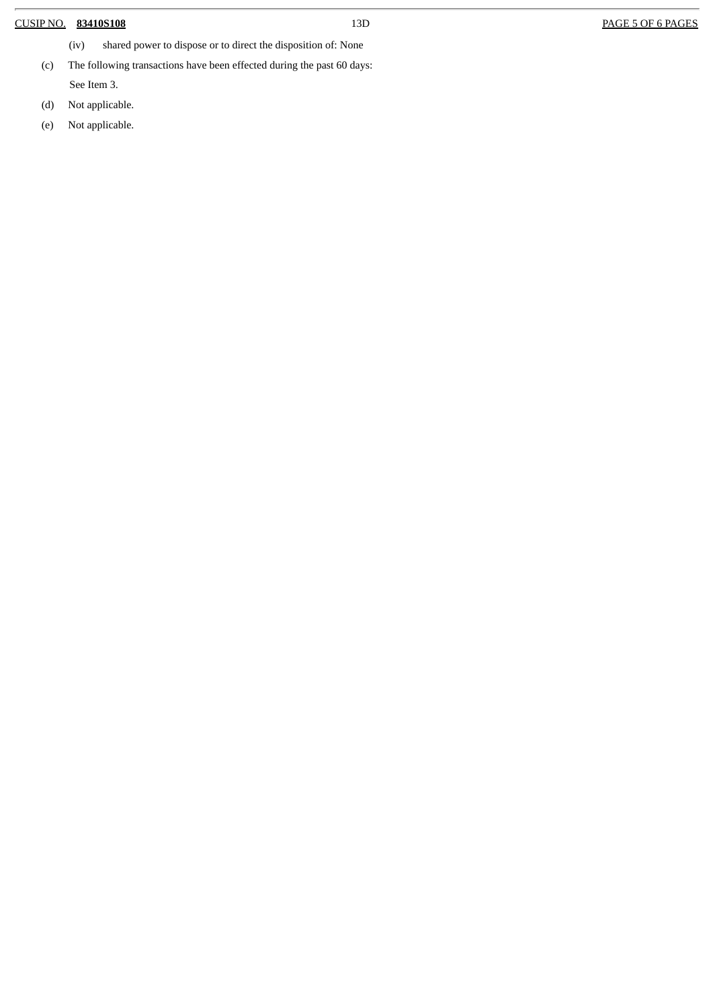### CUSIP NO. **83410S108** 13D PAGE 5 OF 6 PAGES

- (iv) shared power to dispose or to direct the disposition of: None
- (c) The following transactions have been effected during the past 60 days:

See Item 3.

- (d) Not applicable.
- (e) Not applicable.